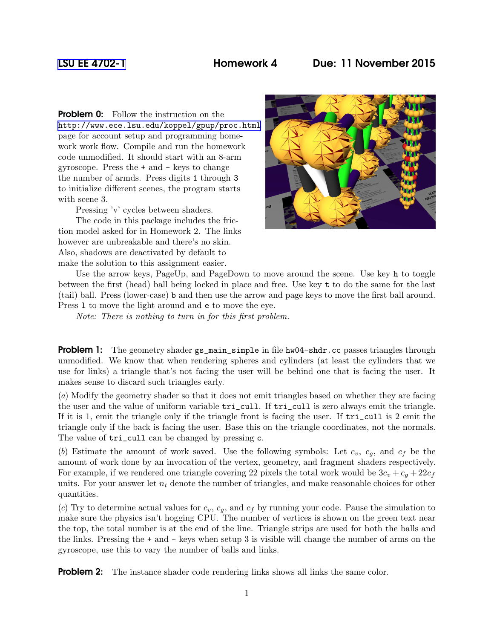## [LSU EE 4702-1](http://www.ece.lsu.edu/koppel/gpup/) Homework 4 Due: 11 November 2015

**Problem 0:** Follow the instruction on the <http://www.ece.lsu.edu/koppel/gpup/proc.html> page for account setup and programming homework work flow. Compile and run the homework code unmodified. It should start with an 8-arm gyroscope. Press the + and - keys to change the number of armds. Press digits 1 through 3 to initialize different scenes, the program starts with scene 3.

Pressing 'v' cycles between shaders.

The code in this package includes the friction model asked for in Homework 2. The links however are unbreakable and there's no skin. Also, shadows are deactivated by default to make the solution to this assignment easier.



Use the arrow keys, PageUp, and PageDown to move around the scene. Use key h to toggle between the first (head) ball being locked in place and free. Use key t to do the same for the last (tail) ball. Press (lower-case) b and then use the arrow and page keys to move the first ball around. Press l to move the light around and e to move the eye.

Note: There is nothing to turn in for this first problem.

**Problem 1:** The geometry shader gs\_main\_simple in file hw04-shdr.cc passes triangles through unmodified. We know that when rendering spheres and cylinders (at least the cylinders that we use for links) a triangle that's not facing the user will be behind one that is facing the user. It makes sense to discard such triangles early.

(a) Modify the geometry shader so that it does not emit triangles based on whether they are facing the user and the value of uniform variable tri\_cull. If tri\_cull is zero always emit the triangle. If it is 1, emit the triangle only if the triangle front is facing the user. If tri\_cull is 2 emit the triangle only if the back is facing the user. Base this on the triangle coordinates, not the normals. The value of  $tri\_cull$  can be changed by pressing c.

(b) Estimate the amount of work saved. Use the following symbols: Let  $c_v$ ,  $c_q$ , and  $c_f$  be the amount of work done by an invocation of the vertex, geometry, and fragment shaders respectively. For example, if we rendered one triangle covering 22 pixels the total work would be  $3c_v + c_g + 22c_f$ units. For your answer let  $n_t$  denote the number of triangles, and make reasonable choices for other quantities.

(c) Try to determine actual values for  $c_v$ ,  $c_g$ , and  $c_f$  by running your code. Pause the simulation to make sure the physics isn't hogging CPU. The number of vertices is shown on the green text near the top, the total number is at the end of the line. Triangle strips are used for both the balls and the links. Pressing the + and - keys when setup 3 is visible will change the number of arms on the gyroscope, use this to vary the number of balls and links.

**Problem 2:** The instance shader code rendering links shows all links the same color.